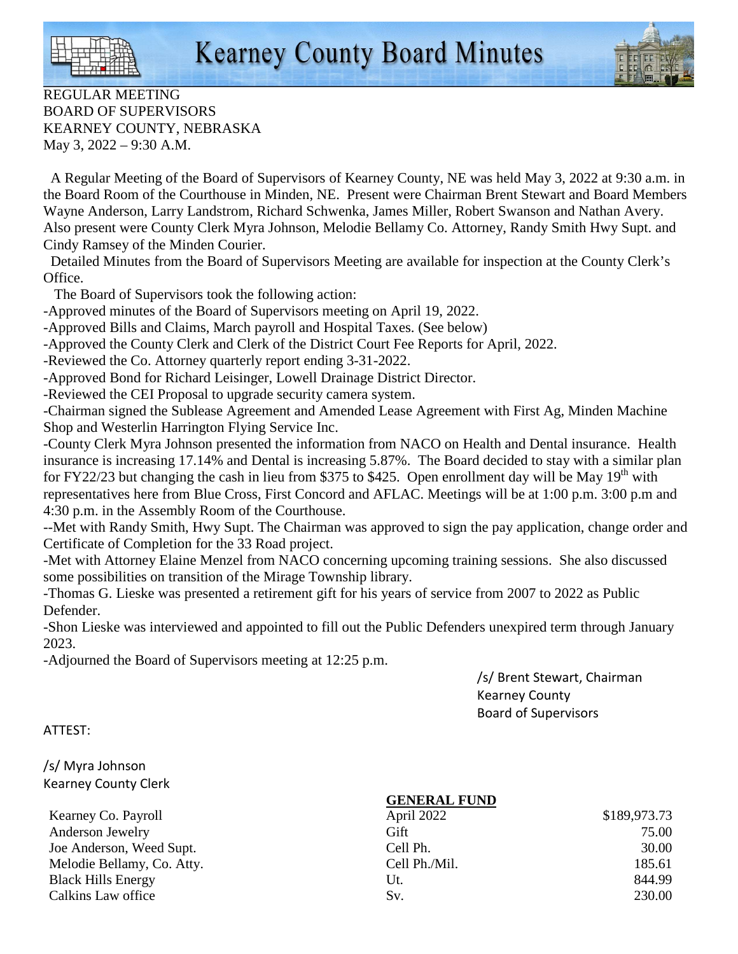

REGULAR MEETING BOARD OF SUPERVISORS KEARNEY COUNTY, NEBRASKA May 3, 2022 – 9:30 A.M.

 A Regular Meeting of the Board of Supervisors of Kearney County, NE was held May 3, 2022 at 9:30 a.m. in the Board Room of the Courthouse in Minden, NE. Present were Chairman Brent Stewart and Board Members Wayne Anderson, Larry Landstrom, Richard Schwenka, James Miller, Robert Swanson and Nathan Avery. Also present were County Clerk Myra Johnson, Melodie Bellamy Co. Attorney, Randy Smith Hwy Supt. and Cindy Ramsey of the Minden Courier.

 Detailed Minutes from the Board of Supervisors Meeting are available for inspection at the County Clerk's Office.

The Board of Supervisors took the following action:

-Approved minutes of the Board of Supervisors meeting on April 19, 2022.

-Approved Bills and Claims, March payroll and Hospital Taxes. (See below)

-Approved the County Clerk and Clerk of the District Court Fee Reports for April, 2022.

-Reviewed the Co. Attorney quarterly report ending 3-31-2022.

-Approved Bond for Richard Leisinger, Lowell Drainage District Director.

-Reviewed the CEI Proposal to upgrade security camera system.

-Chairman signed the Sublease Agreement and Amended Lease Agreement with First Ag, Minden Machine Shop and Westerlin Harrington Flying Service Inc.

-County Clerk Myra Johnson presented the information from NACO on Health and Dental insurance. Health insurance is increasing 17.14% and Dental is increasing 5.87%. The Board decided to stay with a similar plan for FY22/23 but changing the cash in lieu from \$375 to \$425. Open enrollment day will be May  $19<sup>th</sup>$  with representatives here from Blue Cross, First Concord and AFLAC. Meetings will be at 1:00 p.m. 3:00 p.m and 4:30 p.m. in the Assembly Room of the Courthouse.

--Met with Randy Smith, Hwy Supt. The Chairman was approved to sign the pay application, change order and Certificate of Completion for the 33 Road project.

-Met with Attorney Elaine Menzel from NACO concerning upcoming training sessions. She also discussed some possibilities on transition of the Mirage Township library.

-Thomas G. Lieske was presented a retirement gift for his years of service from 2007 to 2022 as Public Defender.

-Shon Lieske was interviewed and appointed to fill out the Public Defenders unexpired term through January 2023.

-Adjourned the Board of Supervisors meeting at 12:25 p.m.

 /s/ Brent Stewart, Chairman Kearney County Board of Supervisors

## ATTEST:

/s/ Myra Johnson Kearney County Clerk

Kearney Co. Payroll Anderson Jewelry Joe Anderson, Weed Supt. Melodie Bellamy, Co. Atty. Black Hills Energy Calkins Law office

## **GENERAL FUND**

| April 2022    | \$189,973.73 |  |
|---------------|--------------|--|
| Gift          | 75.00        |  |
| Cell Ph.      | 30.00        |  |
| Cell Ph./Mil. | 185.61       |  |
| Ut.           | 844.99       |  |
| Sv.           | 230.00       |  |
|               |              |  |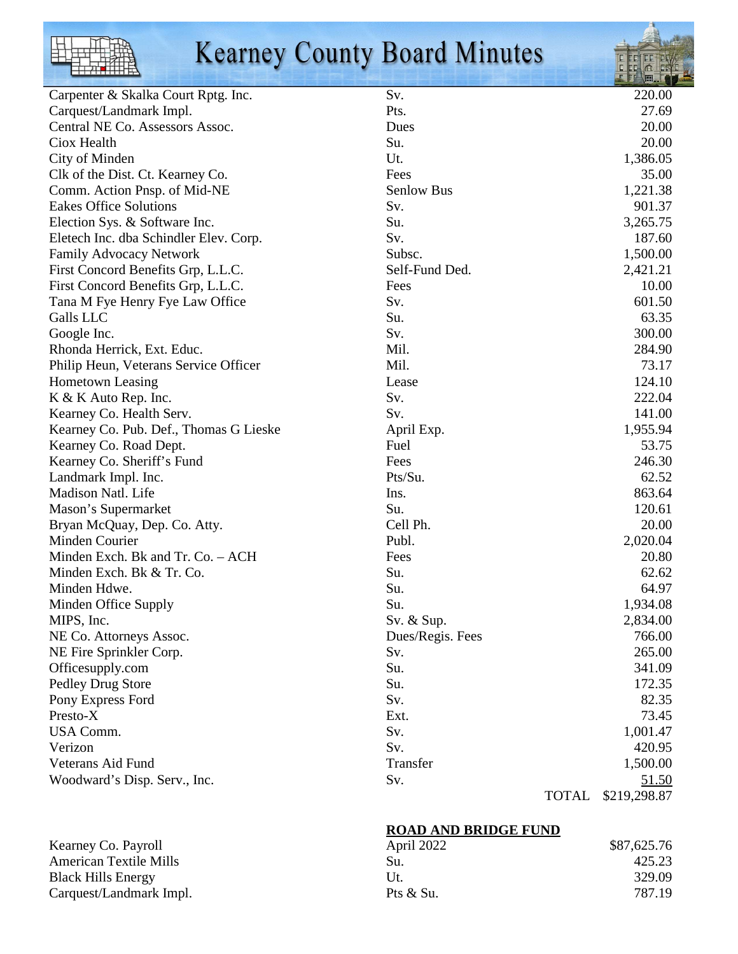

## **Kearney County Board Minutes**



**ROAD AND BRIDGE FUND**

| April 2022  | \$87,625.76 |  |
|-------------|-------------|--|
| Su.         | 425.23      |  |
| Ut.         | 329.09      |  |
| Pts $&$ Su. | 787.19      |  |

Kearney Co. Payroll American Textile Mills Black Hills Energy Carquest/Landmark Impl.